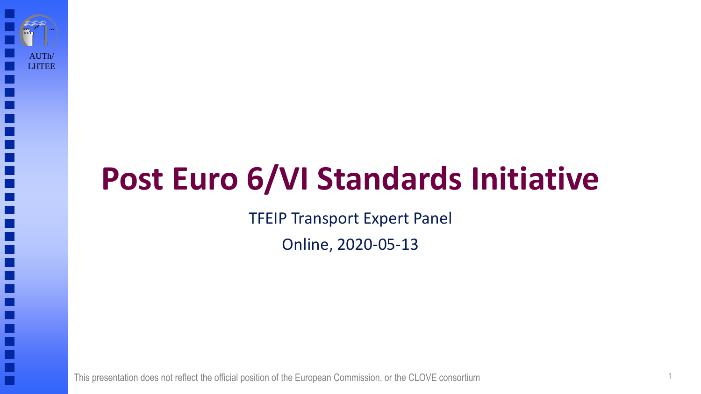# **Post Euro 6/VI Standards Initiative**

TFEIP Transport Expert Panel

Online, 2020-05-13

This presentation does not reflect the official position of the European Commission, or the CLOVE consortium 1

AUTh/ LHTEE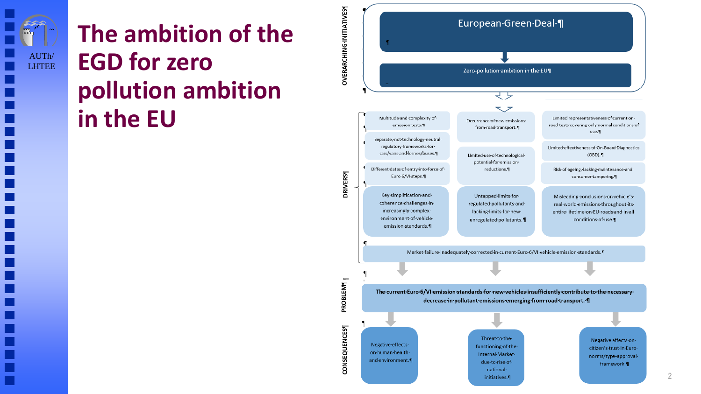

### **The ambition of the EGD for zero pollution ambition in the EU**



 $\mathfrak{D}$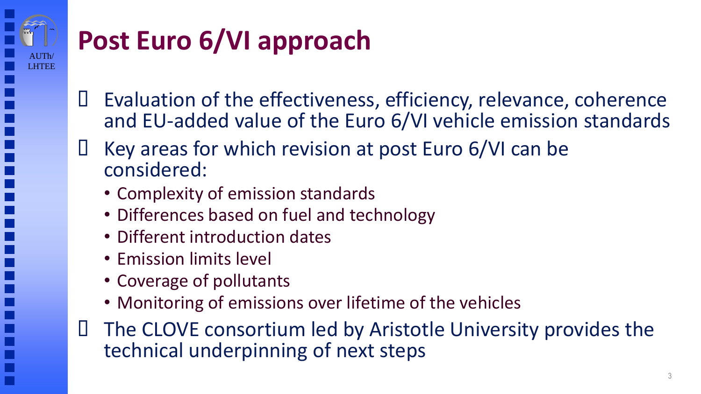

# **Post Euro 6/VI approach**

- Evaluation of the effectiveness, efficiency, relevance, coherence and EU-added value of the Euro 6/VI vehicle emission standards
- $\Box$  Key areas for which revision at post Euro 6/VI can be considered:
	- Complexity of emission standards
	- Differences based on fuel and technology
	- Different introduction dates
	- Emission limits level
	- Coverage of pollutants
	- Monitoring of emissions over lifetime of the vehicles
- The CLOVE consortium led by Aristotle University provides the technical underpinning of next steps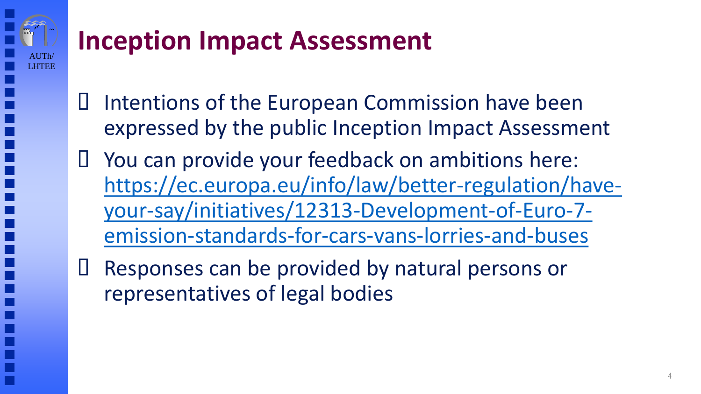# AUTh/ LHTEE

## **Inception Impact Assessment**

- Intentions of the European Commission have been expressed by the public Inception Impact Assessment
- You can provide your feedback on ambitions here: [https://ec.europa.eu/info/law/better-regulation/have](https://ec.europa.eu/info/law/better-regulation/have-your-say/initiatives/12313-Development-of-Euro-7-emission-standards-for-cars-vans-lorries-and-buses)your-say/initiatives/12313-Development-of-Euro-7 emission-standards-for-cars-vans-lorries-and-buses
- Responses can be provided by natural persons or representatives of legal bodies